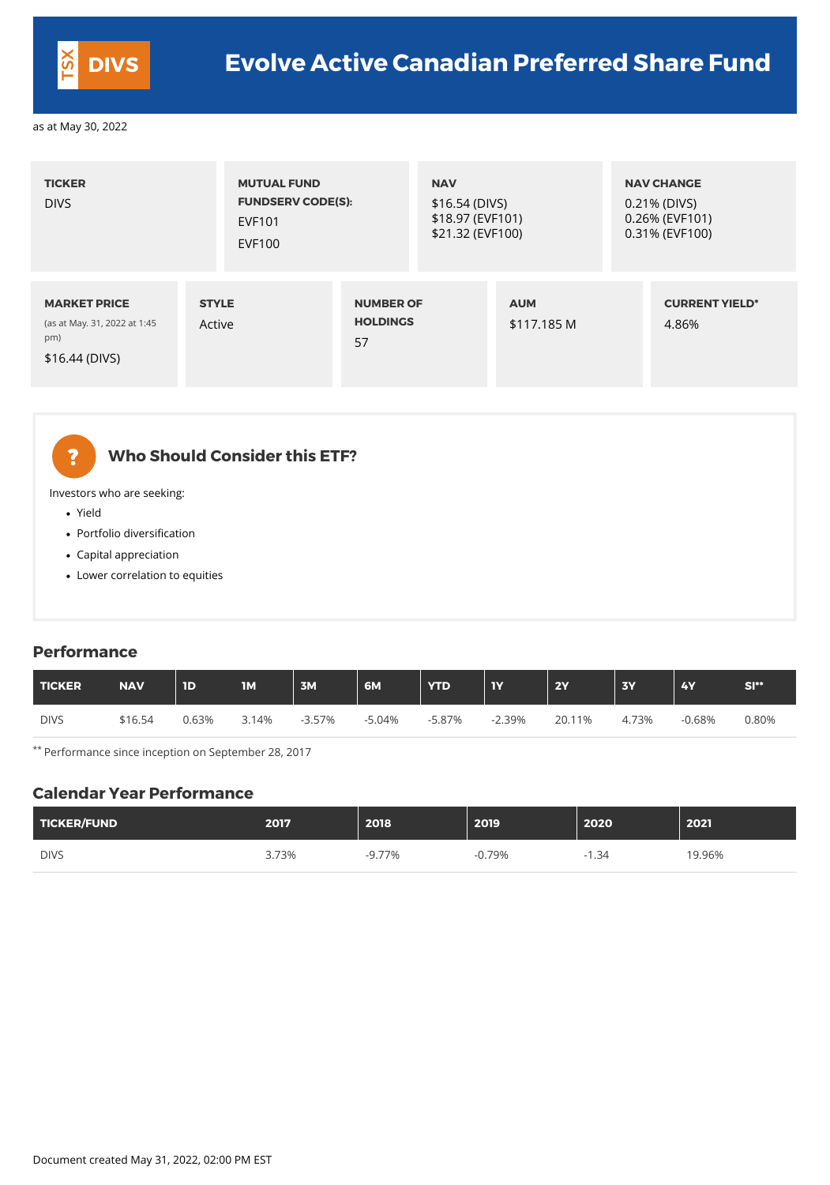| <b>TICKER</b><br><b>DIVS</b>                                                 | <b>MUTUAL FUND</b><br><b>EVF101</b><br><b>EVF100</b> | <b>FUNDSERV CODE(S):</b>                  |  | <b>NAV</b><br>$$16.54$ (DIVS)<br>\$18.97 (EVF101)<br>\$21.32 (EVF100) |  | <b>NAV CHANGE</b><br>0.21% (DIVS)<br>0.26% (EVF101)<br>0.31% (EVF100) |  |
|------------------------------------------------------------------------------|------------------------------------------------------|-------------------------------------------|--|-----------------------------------------------------------------------|--|-----------------------------------------------------------------------|--|
| <b>MARKET PRICE</b><br>(as at May. 31, 2022 at 1:45<br>pm)<br>\$16.44 (DIVS) | <b>STYLE</b><br>Active                               | <b>NUMBER OF</b><br><b>HOLDINGS</b><br>57 |  | <b>AUM</b><br>\$117.185 M                                             |  | <b>CURRENT YIELD*</b><br>4.86%                                        |  |



# **Who Should Consider this ETF?**

Investors who are seeking:

- Yield
- Portfolio diversification
- Capital appreciation
- Lower correlation to equities

#### **Performance**

| TICKER      | <b>NAV</b> | 1D    | <b>1M</b> | 3M        | 6M       | <b>YTD</b> | <b>IY</b> | 2Y     | <b>3Y</b> | <b>4Y</b> | $SI**$ |
|-------------|------------|-------|-----------|-----------|----------|------------|-----------|--------|-----------|-----------|--------|
| <b>DIVS</b> | \$16.54    | 0.63% | 3.14%     | $-3.57\%$ | $-5.04%$ | $-5.87\%$  | $-2.39%$  | 20.11% | 4.73%     | $-0.68%$  | 0.80%  |

\*\* Performance since inception on September 28, 2017

#### **Calendar Year Performance**

| TICKER/FUND | 2017  | 2018     | 2019     | 2020        | 2021   |
|-------------|-------|----------|----------|-------------|--------|
| <b>DIVS</b> | 3.73% | $-9.77%$ | $-0.79%$ | .34<br>$-1$ | 19.96% |

Document created May 31, 2022, 02:00 PM EST

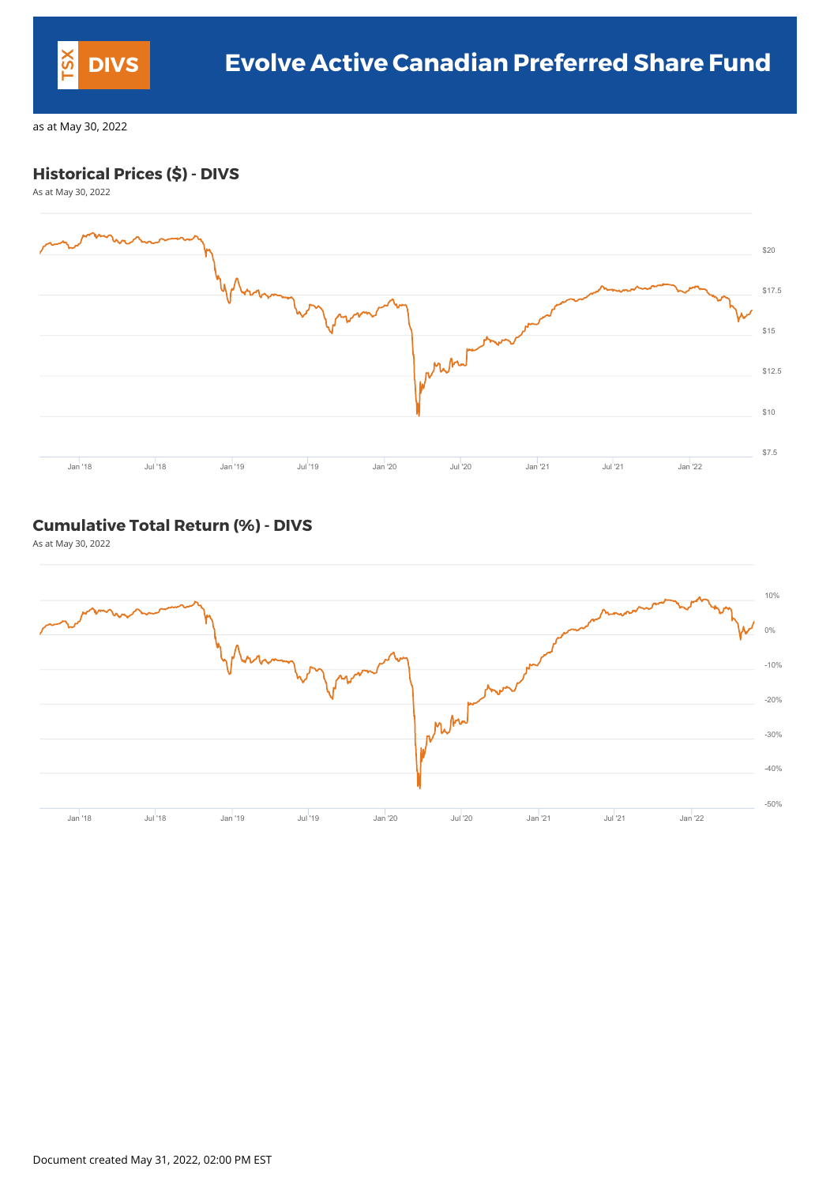## **Historical Prices (\$) - DIVS**

As at May 30, 2022



#### **Cumulative Total Return (%) - DIVS**

As at May 30, 2022



Document created May 31, 2022, 02:00 PM EST

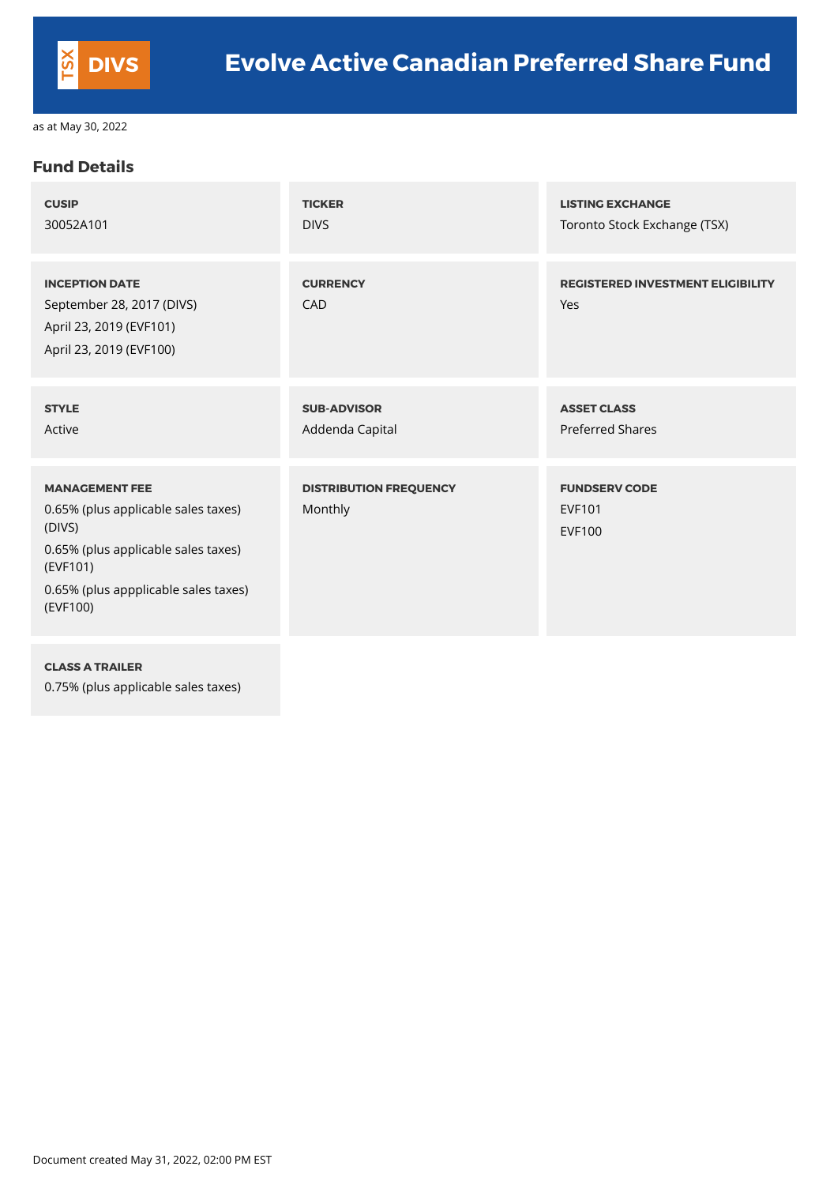#### **Fund Details**

| <b>CUSIP</b>                                                                                                                                                                  | <b>TICKER</b>                            | <b>LISTING EXCHANGE</b>                                |
|-------------------------------------------------------------------------------------------------------------------------------------------------------------------------------|------------------------------------------|--------------------------------------------------------|
| 30052A101                                                                                                                                                                     | <b>DIVS</b>                              | Toronto Stock Exchange (TSX)                           |
| <b>INCEPTION DATE</b><br>September 28, 2017 (DIVS)<br>April 23, 2019 (EVF101)<br>April 23, 2019 (EVF100)                                                                      | <b>CURRENCY</b><br><b>CAD</b>            | <b>REGISTERED INVESTMENT ELIGIBILITY</b><br>Yes        |
| <b>STYLE</b>                                                                                                                                                                  | <b>SUB-ADVISOR</b>                       | <b>ASSET CLASS</b>                                     |
| Active                                                                                                                                                                        | Addenda Capital                          | <b>Preferred Shares</b>                                |
| <b>MANAGEMENT FEE</b><br>0.65% (plus applicable sales taxes)<br>(DIVS)<br>0.65% (plus applicable sales taxes)<br>(EVF101)<br>0.65% (plus appplicable sales taxes)<br>(EVF100) | <b>DISTRIBUTION FREQUENCY</b><br>Monthly | <b>FUNDSERV CODE</b><br><b>EVF101</b><br><b>EVF100</b> |

#### **CLASS A TRAILER**

0.75% (plus applicable sales taxes)

Document created May 31, 2022, 02:00 PM EST

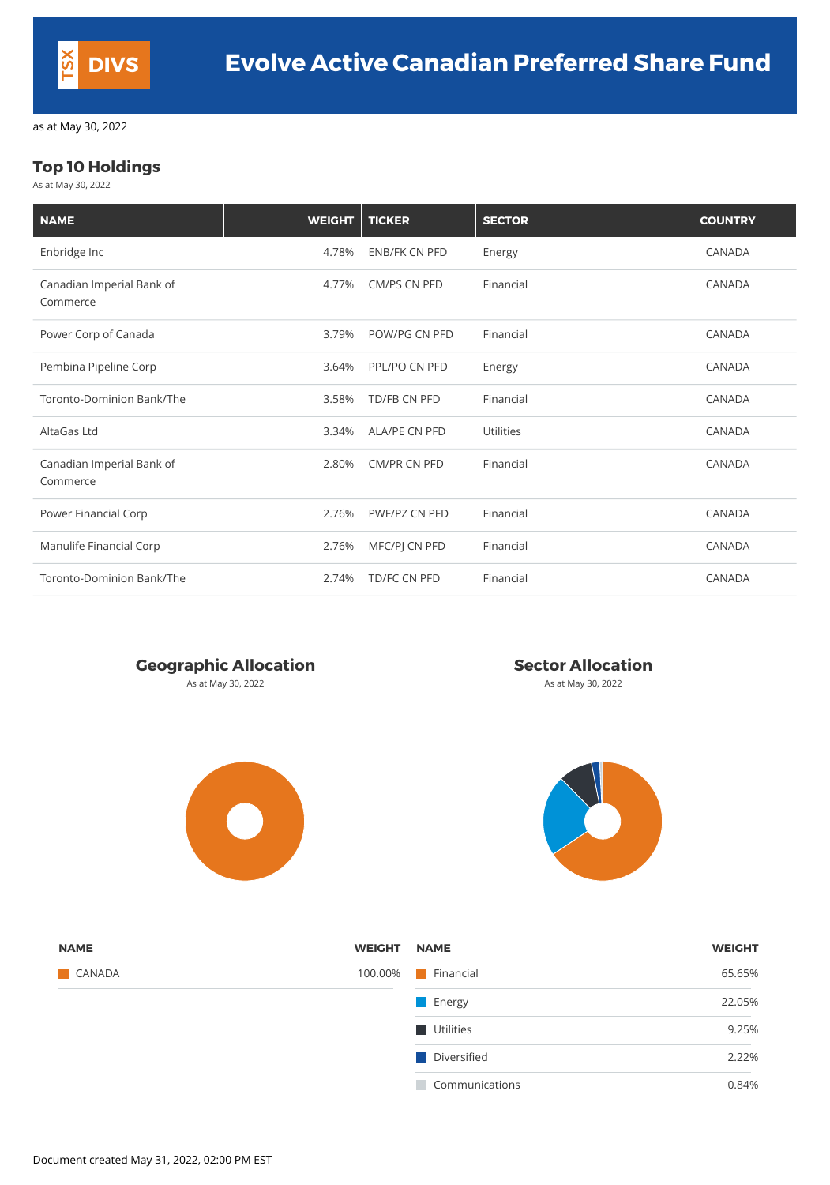## **Top 10 Holdings**

As at May 30, 2022

| <b>NAME</b>                           | <b>WEIGHT</b> | <b>TICKER</b>        | <b>SECTOR</b>    | <b>COUNTRY</b> |
|---------------------------------------|---------------|----------------------|------------------|----------------|
| Enbridge Inc                          | 4.78%         | <b>ENB/FK CN PFD</b> | Energy           | <b>CANADA</b>  |
| Canadian Imperial Bank of<br>Commerce | 4.77%         | <b>CM/PS CN PFD</b>  | Financial        | <b>CANADA</b>  |
| Power Corp of Canada                  | 3.79%         | POW/PG CN PFD        | Financial        | <b>CANADA</b>  |
| Pembina Pipeline Corp                 | 3.64%         | PPL/PO CN PFD        | Energy           | <b>CANADA</b>  |
| Toronto-Dominion Bank/The             | 3.58%         | <b>TD/FB CN PFD</b>  | Financial        | <b>CANADA</b>  |
| AltaGas Ltd                           | 3.34%         | <b>ALA/PE CN PFD</b> | <b>Utilities</b> | <b>CANADA</b>  |
| Canadian Imperial Bank of<br>Commerce | 2.80%         | <b>CM/PR CN PFD</b>  | Financial        | <b>CANADA</b>  |
| Power Financial Corp                  | 2.76%         | PWF/PZ CN PFD        | Financial        | <b>CANADA</b>  |
| Manulife Financial Corp               | 2.76%         | MFC/PJ CN PFD        | Financial        | <b>CANADA</b>  |
| Toronto-Dominion Bank/The             | 2.74%         | TD/FC CN PFD         | Financial        | <b>CANADA</b>  |



As at May 30, 2022 **As at May 30, 2022** As at May 30, 2022





| <b>NAME</b>   | <b>WEIGHT</b> | <b>NAME</b>      | <b>WEIGHT</b> |
|---------------|---------------|------------------|---------------|
| <b>CANADA</b> | 100.00%       | <b>Financial</b> | 65.65%        |
|               |               | <b>Energy</b>    | 22.05%        |
|               |               | Utilities        | 9.25%         |
|               |               | Diversified      | 2.22%         |
|               |               | Communications   | 0.84%         |